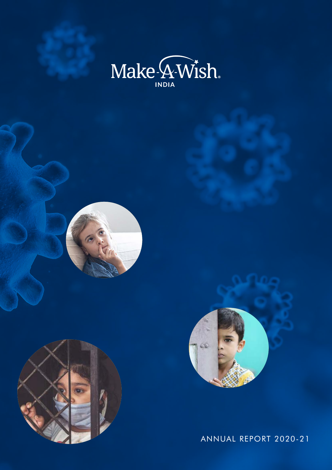







Annual Report 2020-21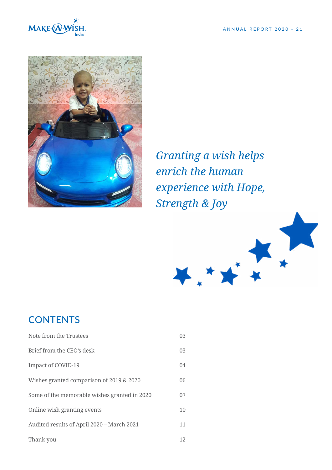



*Granting a wish helps enrich the human experience with Hope, Strength & Joy*



# **CONTENTS**

| Note from the Trustees                       | 03 |
|----------------------------------------------|----|
| Brief from the CEO's desk                    | 03 |
| Impact of COVID-19                           | 04 |
| Wishes granted comparison of 2019 & 2020     | 06 |
| Some of the memorable wishes granted in 2020 | 07 |
| Online wish granting events                  | 10 |
| Audited results of April 2020 – March 2021   | 11 |
| Thank you                                    | 12 |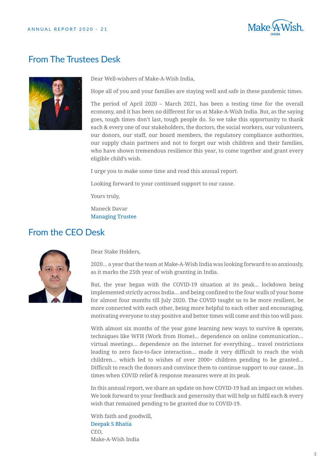

### From The Trustees Desk



Dear Well-wishers of Make-A-Wish India,

Hope all of you and your families are staying well and safe in these pandemic times.

The period of April 2020 – March 2021, has been a testing time for the overall economy, and it has been no different for us at Make-A-Wish India. But, as the saying goes, tough times don't last, tough people do. So we take this opportunity to thank each & every one of our stakeholders, the doctors, the social workers, our volunteers, our donors, our staff, our board members, the regulatory compliance authorities, our supply chain partners and not to forget our wish children and their families, who have shown tremendous resilience this year, to come together and grant every eligible child's wish.

I urge you to make some time and read this annual report.

Looking forward to your continued support to our cause.

Yours truly,

Maneck Davar Managing Trustee

### From the CEO Desk



Dear Stake Holders,

2020... a year that the team at Make-A-Wish India was looking forward to so anxiously, as it marks the 25th year of wish granting in India.

But, the year began with the COVID-19 situation at its peak... lockdown being implemented strictly across India... and being confined to the four walls of your home for almost four months till July 2020. The COVID taught us to be more resilient, be more connected with each other, being more helpful to each other and encouraging, motivating everyone to stay positive and better times will come and this too will pass.

With almost six months of the year gone learning new ways to survive & operate, techniques like WFH (Work from Home)... dependence on online communication... virtual meetings... dependence on the internet for everything... travel restrictions leading to zero face-to-face interaction... made it very difficult to reach the wish children... which led to wishes of over 2000+ children pending to be granted... Difficult to reach the donors and convince them to continue support to our cause...In times when COVID relief & response measures were at its peak.

In this annual report, we share an update on how COVID-19 had an impact on wishes. We look forward to your feedback and generosity that will help us fulfil each & every wish that remained pending to be granted due to COVID-19.

With faith and goodwill, Deepak S Bhatia CEO, Make-A-Wish India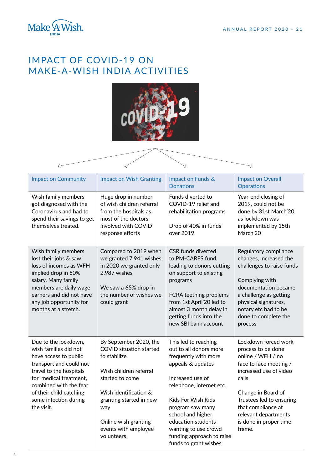

## IMPACT OF COVID-19 ON MAKE-A-WISH INDIA ACTIVITIES



| <b>Impact on Community</b>                                                                                                                                                                                                                         | <b>Impact on Wish Granting</b>                                                                                                                                                                                                                 | Impact on Funds &<br><b>Donations</b>                                                                                                                                                                                                                                                                          | <b>Impact on Overall</b><br><b>Operations</b>                                                                                                                                                                                                                    |
|----------------------------------------------------------------------------------------------------------------------------------------------------------------------------------------------------------------------------------------------------|------------------------------------------------------------------------------------------------------------------------------------------------------------------------------------------------------------------------------------------------|----------------------------------------------------------------------------------------------------------------------------------------------------------------------------------------------------------------------------------------------------------------------------------------------------------------|------------------------------------------------------------------------------------------------------------------------------------------------------------------------------------------------------------------------------------------------------------------|
| Wish family members<br>got diagnosed with the<br>Coronavirus and had to<br>spend their savings to get<br>themselves treated.                                                                                                                       | Huge drop in number<br>of wish children referral<br>from the hospitals as<br>most of the doctors<br>involved with COVID<br>response efforts                                                                                                    | Funds diverted to<br>COVID-19 relief and<br>rehabilitation programs<br>Drop of 40% in funds<br>over 2019                                                                                                                                                                                                       | Year-end closing of<br>2019, could not be<br>done by 31st March'20,<br>as lockdown was<br>implemented by 15th<br>March'20                                                                                                                                        |
| Wish family members<br>lost their jobs & saw<br>loss of incomes as WFH<br>implied drop in 50%<br>salary. Many family<br>members are daily wage<br>earners and did not have<br>any job opportunity for<br>months at a stretch.                      | Compared to 2019 when<br>we granted 7,941 wishes,<br>in 2020 we granted only<br>2,987 wishes<br>We saw a 65% drop in<br>the number of wishes we<br>could grant                                                                                 | <b>CSR funds diverted</b><br>to PM-CARES fund,<br>leading to donors cutting<br>on support to existing<br>programs<br>FCRA teething problems<br>from 1st April'20 led to<br>almost 3 month delay in<br>getting funds into the<br>new SBI bank account                                                           | Regulatory compliance<br>changes, increased the<br>challenges to raise funds<br>Complying with<br>documentation became<br>a challenge as getting<br>physical signatures,<br>notary etc had to be<br>done to complete the<br>process                              |
| Due to the lockdown,<br>wish families did not<br>have access to public<br>transport and could not<br>travel to the hospitals<br>for medical treatment,<br>combined with the fear<br>of their child catching<br>some infection during<br>the visit. | By September 2020, the<br><b>COVID</b> situation started<br>to stabilize<br>Wish children referral<br>started to come<br>Wish identification &<br>granting started in new<br>way<br>Online wish granting<br>events with employee<br>volunteers | This led to reaching<br>out to all donors more<br>frequently with more<br>appeals & updates<br>Increased use of<br>telephone, internet etc.<br>Kids For Wish Kids<br>program saw many<br>school and higher<br>education students<br>wanting to use crowd<br>funding approach to raise<br>funds to grant wishes | Lockdown forced work<br>process to be done<br>online / WFH / no<br>face to face meeting /<br>increased use of video<br>calls<br>Change in Board of<br>Trustees led to ensuring<br>that compliance at<br>relevant departments<br>is done in proper time<br>frame. |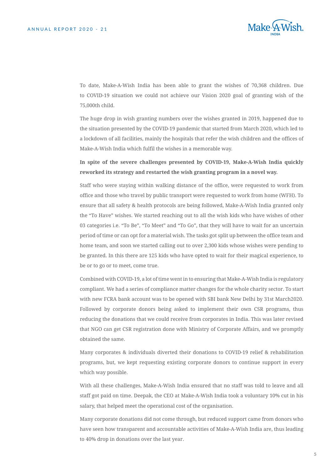

To date, Make-A-Wish India has been able to grant the wishes of 70,368 children. Due to COVID-19 situation we could not achieve our Vision 2020 goal of granting wish of the 75,000th child.

The huge drop in wish granting numbers over the wishes granted in 2019, happened due to the situation presented by the COVID-19 pandemic that started from March 2020, which led to a lockdown of all facilities, mainly the hospitals that refer the wish children and the offices of Make-A-Wish India which fulfil the wishes in a memorable way.

**In spite of the severe challenges presented by COVID-19, Make-A-Wish India quickly reworked its strategy and restarted the wish granting program in a novel way.** 

Staff who were staying within walking distance of the office, were requested to work from office and those who travel by public transport were requested to work from home (WFH). To ensure that all safety & health protocols are being followed, Make-A-Wish India granted only the "To Have" wishes. We started reaching out to all the wish kids who have wishes of other 03 categories i.e. "To Be", "To Meet" and "To Go", that they will have to wait for an uncertain period of time or can opt for a material wish. The tasks got split up between the office team and home team, and soon we started calling out to over 2,300 kids whose wishes were pending to be granted. In this there are 125 kids who have opted to wait for their magical experience, to be or to go or to meet, come true.

Combined with COVID-19, a lot of time went in to ensuring that Make-A-Wish India is regulatory compliant. We had a series of compliance matter changes for the whole charity sector. To start with new FCRA bank account was to be opened with SBI bank New Delhi by 31st March2020. Followed by corporate donors being asked to implement their own CSR programs, thus reducing the donations that we could receive from corporates in India. This was later revised that NGO can get CSR registration done with Ministry of Corporate Affairs, and we promptly obtained the same.

Many corporates & individuals diverted their donations to COVID-19 relief & rehabilitation programs, but, we kept requesting existing corporate donors to continue support in every which way possible.

With all these challenges, Make-A-Wish India ensured that no staff was told to leave and all staff got paid on time. Deepak, the CEO at Make-A-Wish India took a voluntary 10% cut in his salary, that helped meet the operational cost of the organisation.

Many corporate donations did not come through, but reduced support came from donors who have seen how transparent and accountable activities of Make-A-Wish India are, thus leading to 40% drop in donations over the last year.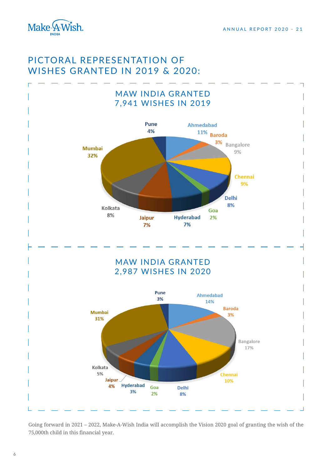

## Pictoral representation of wishes granted in 2019 & 2020:



Going forward in 2021 – 2022, Make-A-Wish India will accomplish the Vision 2020 goal of granting the wish of the 75,000th child in this financial year.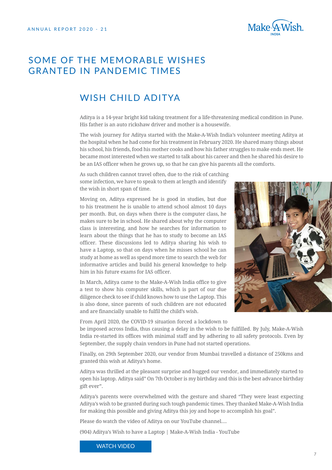

## Some of the memorable wishes granted in pandemic times

## Wish child Aditya

Aditya is a 14-year bright kid taking treatment for a life-threatening medical condition in Pune. His father is an auto rickshaw driver and mother is a housewife.

The wish journey for Aditya started with the Make-A-Wish India's volunteer meeting Aditya at the hospital when he had come for his treatment in February 2020. He shared many things about his school, his friends, food his mother cooks and how his father struggles to make ends meet. He became most interested when we started to talk about his career and then he shared his desire to be an IAS officer when he grows up, so that he can give his parents all the comforts.

As such children cannot travel often, due to the risk of catching some infection, we have to speak to them at length and identify the wish in short span of time.

Moving on, Aditya expressed he is good in studies, but due to his treatment he is unable to attend school almost 10 days per month. But, on days when there is the computer class, he makes sure to be in school. He shared about why the computer class is interesting, and how he searches for information to learn about the things that he has to study to become an IAS officer. These discussions led to Aditya sharing his wish to have a Laptop, so that on days when he misses school he can study at home as well as spend more time to search the web for informative articles and build his general knowledge to help him in his future exams for IAS officer.

In March, Aditya came to the Make-A-Wish India office to give a test to show his computer skills, which is part of our due diligence check to see if child knows how to use the Laptop. This is also done, since parents of such children are not educated and are financially unable to fulfil the child's wish.



From April 2020, the COVID-19 situation forced a lockdown to

be imposed across India, thus causing a delay in the wish to be fulfilled. By July, Make-A-Wish India re-started its offices with minimal staff and by adhering to all safety protocols. Even by September, the supply chain vendors in Pune had not started operations.

Finally, on 29th September 2020, our vendor from Mumbai travelled a distance of 250kms and granted this wish at Aditya's home.

Aditya was thrilled at the pleasant surprise and hugged our vendor, and immediately started to open his laptop. Aditya said" On 7th October is my birthday and this is the best advance birthday gift ever".

Aditya's parents were overwhelmed with the gesture and shared "They were least expecting Aditya's wish to be granted during such tough pandemic times. They thanked Make-A-Wish India for making this possible and giving Aditya this joy and hope to accomplish his goal".

Please do watch the video of Aditya on our YouTube channel....

(904) Aditya's Wish to have a Laptop | Make-A-Wish India - YouTube

WATCH VIDEO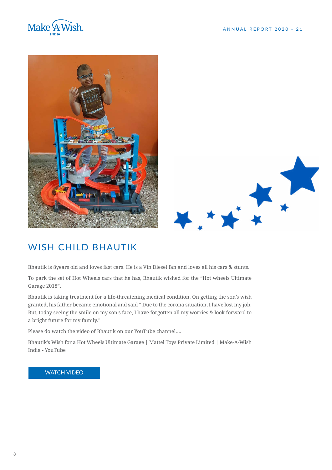



# Wish child Bhautik

Bhautik is 8years old and loves fast cars. He is a Vin Diesel fan and loves all his cars & stunts.

To park the set of Hot Wheels cars that he has, Bhautik wished for the "Hot wheels Ultimate Garage 2018".

Bhautik is taking treatment for a life-threatening medical condition. On getting the son's wish granted, his father became emotional and said " Due to the corona situation, I have lost my job. But, today seeing the smile on my son's face, I have forgotten all my worries & look forward to a bright future for my family."

Please do watch the video of Bhautik on our YouTube channel....

Bhautik's Wish for a Hot Wheels Ultimate Garage | Mattel Toys Private Limited | Make-A-Wish India - YouTube

#### WATCH VIDEO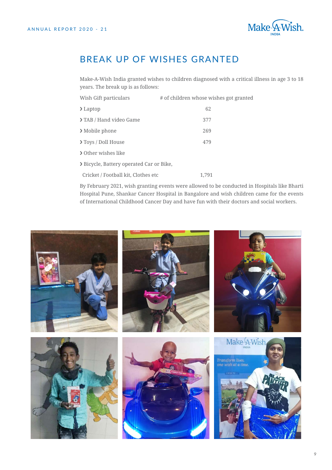

## Break up of wishes granted

Make-A-Wish India granted wishes to children diagnosed with a critical illness in age 3 to 18 years. The break up is as follows:

| Wish Gift particulars                    | # of children whose wishes got granted |  |
|------------------------------------------|----------------------------------------|--|
| $\sum$ Laptop                            | 62                                     |  |
| > TAB / Hand video Game                  | 377                                    |  |
| > Mobile phone                           | 269                                    |  |
| <b>&gt;Toys / Doll House</b>             | 479                                    |  |
| > Other wishes like                      |                                        |  |
| > Bicycle, Battery operated Car or Bike, |                                        |  |
| Cricket / Football kit. Clothes etc      | 1.791                                  |  |

By February 2021, wish granting events were allowed to be conducted in Hospitals like Bharti Hospital Pune, Shankar Cancer Hospital in Bangalore and wish children came for the events of International Childhood Cancer Day and have fun with their doctors and social workers.

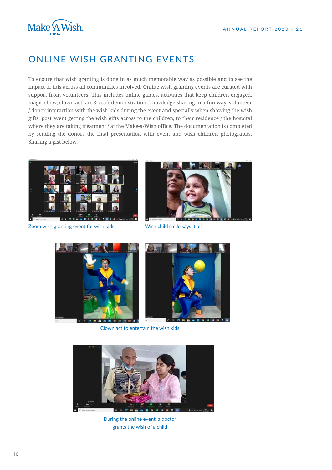

## Online wish granting events

To ensure that wish granting is done in as much memorable way as possible and to see the impact of this across all communities involved. Online wish granting events are curated with support from volunteers. This includes online games, activities that keep children engaged, magic show, clown act, art & craft demonstration, knowledge sharing in a fun way, volunteer / donor interaction with the wish kids during the event and specially when showing the wish gifts, post event getting the wish gifts across to the children, to their residence / the hospital where they are taking treatment / at the Make-a-Wish office. The documentation is completed by sending the donors the final presentation with event and wish children photographs. Sharing a gist below.



Zoom wish granting event for wish kids



Wish child smile says it all





Clown act to entertain the wish kids



During the online event, a doctor grants the wish of a child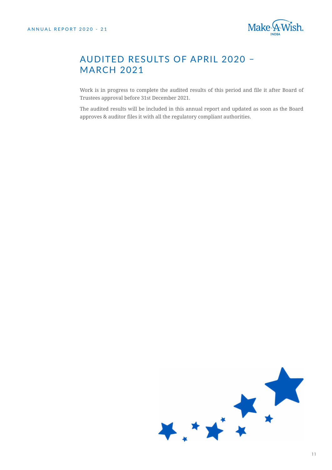

## Audited results of April 2020 – **MARCH 2021**

Work is in progress to complete the audited results of this period and file it after Board of Trustees approval before 31st December 2021.

The audited results will be included in this annual report and updated as soon as the Board approves & auditor files it with all the regulatory compliant authorities.

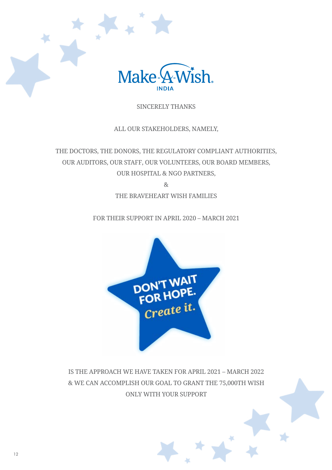

#### Sincerely thanks

All our stakeholders, namely,

The Doctors, The Donors, The Regulatory Compliant Authorities, Our auditors, Our Staff, Our Volunteers, our board members, Our Hospital & NGO partners, &

The braveheart wish families

For their support in April 2020 – March 2021



Is the approach we have taken for April 2021 – March 2022 & we can accomplish our goal to grant the 75,000th wish only with your support